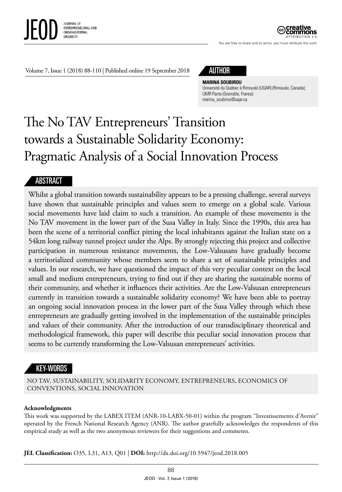

ATTRIBUTION 3.0

You are free to share and to remix, you must attribute the work

Volume 7, Issue 1 (2018) 88-110 | Published online 19 September 2018

# AUTHOR

#### **MARINA SOUBIROU**

Université du Québec à Rimouski (UQAR) (Rimouski, Canada); UMR Pacte (Grenoble, France) [marina\\_soubirou@uqar.ca](mailto:marina_soubirou@uqar.ca)

# The No TAV Entrepreneurs' Transition towards a Sustainable Solidarity Economy: Pragmatic Analysis of a Social Innovation Process

#### ABSTRACT

Whilst a global transition towards sustainability appears to be a pressing challenge, several surveys have shown that sustainable principles and values seem to emerge on a global scale. Various social movements have laid claim to such a transition. An example of these movements is the No TAV movement in the lower part of the Susa Valley in Italy. Since the 1990s, this area has been the scene of a territorial conflict pitting the local inhabitants against the Italian state on a 54km long railway tunnel project under the Alps. By strongly rejecting this project and collective participation in numerous resistance movements, the Low-Valsusans have gradually become a territorialized community whose members seem to share a set of sustainable principles and values. In our research, we have questioned the impact of this very peculiar context on the local small and medium entrepreneurs, trying to find out if they are sharing the sustainable norms of their community, and whether it influences their activities. Are the Low-Valsusan entrepreneurs currently in transition towards a sustainable solidarity economy? We have been able to portray an ongoing social innovation process in the lower part of the Susa Valley through which these entrepreneurs are gradually getting involved in the implementation of the sustainable principles and values of their community. After the introduction of our transdisciplinary theoretical and methodological framework, this paper will describe this peculiar social innovation process that seems to be currently transforming the Low-Valsusan entrepreneurs' activities.

#### KEY-WORDS

NO TAV, SUSTAINABILITY, SOLIDARITY ECONOMY, ENTREPRENEURS, ECONOMICS OF CONVENTIONS, SOCIAL INNOVATION

#### **Acknowledgments**

This work was supported by the LABEX ITEM (ANR-10-LABX-50-01) within the program "Investissements d'Avenir" operated by the French National Research Agency (ANR). The author gratefully acknowledges the respondents of this empirical study as well as the two anonymous reviewers for their suggestions and comments.

**JEL Classification:** O35, L31, A13, Q01 | **DOI:** <http://dx.doi.org/10.5947/jeod.2018.005>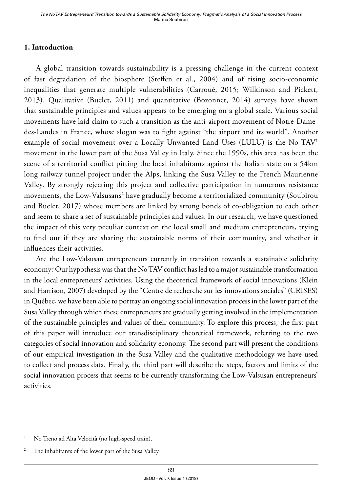#### **1. Introduction**

A global transition towards sustainability is a pressing challenge in the current context of fast degradation of the biosphere (Steffen et al., 2004) and of rising socio-economic inequalities that generate multiple vulnerabilities (Carroué, 2015; Wilkinson and Pickett, 2013). Qualitative (Buclet, 2011) and quantitative (Bozonnet, 2014) surveys have shown that sustainable principles and values appears to be emerging on a global scale. Various social movements have laid claim to such a transition as the anti-airport movement of Notre-Damedes-Landes in France, whose slogan was to fight against "the airport and its world". Another example of social movement over a Locally Unwanted Land Uses (LULU) is the No TAV1 movement in the lower part of the Susa Valley in Italy. Since the 1990s, this area has been the scene of a territorial conflict pitting the local inhabitants against the Italian state on a 54km long railway tunnel project under the Alps, linking the Susa Valley to the French Maurienne Valley. By strongly rejecting this project and collective participation in numerous resistance movements, the Low-Valsusans<sup>2</sup> have gradually become a territorialized community (Soubirou and Buclet, 2017) whose members are linked by strong bonds of co-obligation to each other and seem to share a set of sustainable principles and values. In our research, we have questioned the impact of this very peculiar context on the local small and medium entrepreneurs, trying to find out if they are sharing the sustainable norms of their community, and whether it influences their activities.

Are the Low-Valsusan entrepreneurs currently in transition towards a sustainable solidarity economy? Our hypothesis was that the No TAV conflict has led to a major sustainable transformation in the local entrepreneurs' activities. Using the theoretical framework of social innovations (Klein and Harrison, 2007) developed by the "Centre de recherche sur les innovations sociales" (CRISES) in Québec, we have been able to portray an ongoing social innovation process in the lower part of the Susa Valley through which these entrepreneurs are gradually getting involved in the implementation of the sustainable principles and values of their community. To explore this process, the first part of this paper will introduce our transdisciplinary theoretical framework, referring to the two categories of social innovation and solidarity economy. The second part will present the conditions of our empirical investigation in the Susa Valley and the qualitative methodology we have used to collect and process data. Finally, the third part will describe the steps, factors and limits of the social innovation process that seems to be currently transforming the Low-Valsusan entrepreneurs' activities.

<sup>&</sup>lt;sup>1</sup> No Treno ad Alta Velocità (no high-speed train).

<sup>&</sup>lt;sup>2</sup> The inhabitants of the lower part of the Susa Valley.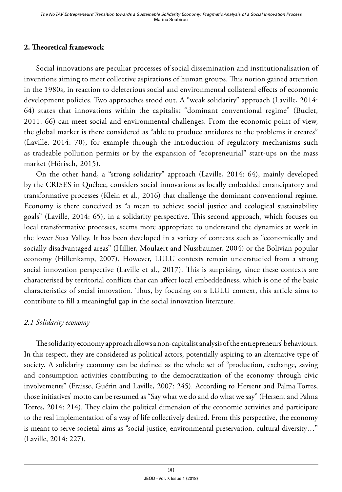#### **2. Theoretical framework**

Social innovations are peculiar processes of social dissemination and institutionalisation of inventions aiming to meet collective aspirations of human groups. This notion gained attention in the 1980s, in reaction to deleterious social and environmental collateral effects of economic development policies. Two approaches stood out. A "weak solidarity" approach (Laville, 2014: 64) states that innovations within the capitalist "dominant conventional regime" (Buclet, 2011: 66) can meet social and environmental challenges. From the economic point of view, the global market is there considered as "able to produce antidotes to the problems it creates" (Laville, 2014: 70), for example through the introduction of regulatory mechanisms such as tradeable pollution permits or by the expansion of "ecopreneurial" start-ups on the mass market (Hörisch, 2015).

On the other hand, a "strong solidarity" approach (Laville, 2014: 64), mainly developed by the CRISES in Québec, considers social innovations as locally embedded emancipatory and transformative processes (Klein et al., 2016) that challenge the dominant conventional regime. Economy is there conceived as "a mean to achieve social justice and ecological sustainability goals" (Laville, 2014: 65), in a solidarity perspective. This second approach, which focuses on local transformative processes, seems more appropriate to understand the dynamics at work in the lower Susa Valley. It has been developed in a variety of contexts such as "economically and socially disadvantaged areas" (Hillier, Moulaert and Nussbaumer, 2004) or the Bolivian popular economy (Hillenkamp, 2007). However, LULU contexts remain understudied from a strong social innovation perspective (Laville et al., 2017). This is surprising, since these contexts are characterised by territorial conflicts that can affect local embeddedness, which is one of the basic characteristics of social innovation. Thus, by focusing on a LULU context, this article aims to contribute to fill a meaningful gap in the social innovation literature.

#### *2.1 Solidarity economy*

The solidarity economy approach allows a non-capitalist analysis of the entrepreneurs' behaviours. In this respect, they are considered as political actors, potentially aspiring to an alternative type of society. A solidarity economy can be defined as the whole set of "production, exchange, saving and consumption activities contributing to the democratization of the economy through civic involvements" (Fraisse, Guérin and Laville, 2007: 245). According to Hersent and Palma Torres, those initiatives' motto can be resumed as "Say what we do and do what we say" (Hersent and Palma Torres, 2014: 214). They claim the political dimension of the economic activities and participate to the real implementation of a way of life collectively desired. From this perspective, the economy is meant to serve societal aims as "social justice, environmental preservation, cultural diversity…" (Laville, 2014: 227).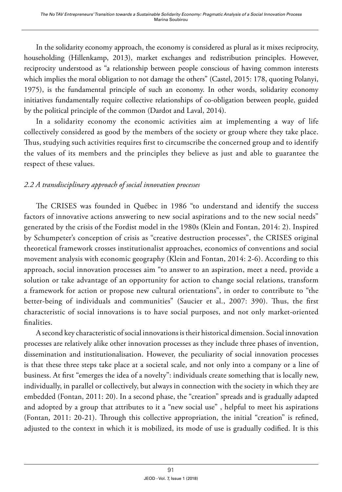In the solidarity economy approach, the economy is considered as plural as it mixes reciprocity, householding (Hillenkamp, 2013), market exchanges and redistribution principles. However, reciprocity understood as "a relationship between people conscious of having common interests which implies the moral obligation to not damage the others" (Castel, 2015: 178, quoting Polanyi, 1975), is the fundamental principle of such an economy. In other words, solidarity economy initiatives fundamentally require collective relationships of co-obligation between people, guided by the political principle of the common (Dardot and Laval, 2014).

In a solidarity economy the economic activities aim at implementing a way of life collectively considered as good by the members of the society or group where they take place. Thus, studying such activities requires first to circumscribe the concerned group and to identify the values of its members and the principles they believe as just and able to guarantee the respect of these values.

# *2.2 A transdisciplinary approach of social innovation processes*

The CRISES was founded in Québec in 1986 "to understand and identify the success factors of innovative actions answering to new social aspirations and to the new social needs" generated by the crisis of the Fordist model in the 1980s (Klein and Fontan, 2014: 2). Inspired by Schumpeter's conception of crisis as "creative destruction processes", the CRISES original theoretical framework crosses institutionalist approaches, economics of conventions and social movement analysis with economic geography (Klein and Fontan, 2014: 2-6). According to this approach, social innovation processes aim "to answer to an aspiration, meet a need, provide a solution or take advantage of an opportunity for action to change social relations, transform a framework for action or propose new cultural orientations", in order to contribute to "the better-being of individuals and communities" (Saucier et al., 2007: 390). Thus, the first characteristic of social innovations is to have social purposes, and not only market-oriented finalities.

A second key characteristic of social innovations is their historical dimension. Social innovation processes are relatively alike other innovation processes as they include three phases of invention, dissemination and institutionalisation. However, the peculiarity of social innovation processes is that these three steps take place at a societal scale, and not only into a company or a line of business. At first "emerges the idea of a novelty": individuals create something that is locally new, individually, in parallel or collectively, but always in connection with the society in which they are embedded (Fontan, 2011: 20). In a second phase, the "creation" spreads and is gradually adapted and adopted by a group that attributes to it a "new social use" , helpful to meet his aspirations (Fontan, 2011: 20-21). Through this collective appropriation, the initial "creation" is refined, adjusted to the context in which it is mobilized, its mode of use is gradually codified. It is this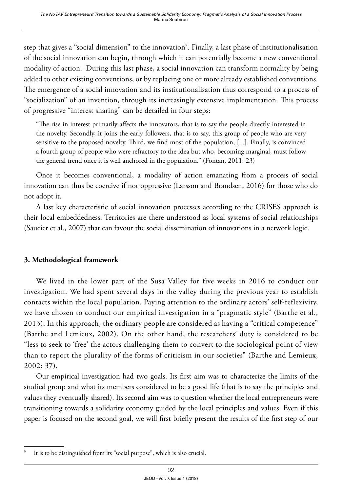step that gives a "social dimension" to the innovation<sup>3</sup>. Finally, a last phase of institutionalisation of the social innovation can begin, through which it can potentially become a new conventional modality of action. During this last phase, a social innovation can transform normality by being added to other existing conventions, or by replacing one or more already established conventions. The emergence of a social innovation and its institutionalisation thus correspond to a process of "socialization" of an invention, through its increasingly extensive implementation. This process of progressive "interest sharing" can be detailed in four steps:

"The rise in interest primarily affects the innovators, that is to say the people directly interested in the novelty. Secondly, it joins the early followers, that is to say, this group of people who are very sensitive to the proposed novelty. Third, we find most of the population, [...]. Finally, is convinced a fourth group of people who were refractory to the idea but who, becoming marginal, must follow the general trend once it is well anchored in the population." (Fontan, 2011: 23)

Once it becomes conventional, a modality of action emanating from a process of social innovation can thus be coercive if not oppressive (Larsson and Brandsen, 2016) for those who do not adopt it.

A last key characteristic of social innovation processes according to the CRISES approach is their local embeddedness. Territories are there understood as local systems of social relationships (Saucier et al., 2007) that can favour the social dissemination of innovations in a network logic.

#### **3. Methodological framework**

We lived in the lower part of the Susa Valley for five weeks in 2016 to conduct our investigation. We had spent several days in the valley during the previous year to establish contacts within the local population. Paying attention to the ordinary actors' self-reflexivity, we have chosen to conduct our empirical investigation in a "pragmatic style" (Barthe et al., 2013). In this approach, the ordinary people are considered as having a "critical competence" (Barthe and Lemieux, 2002). On the other hand, the researchers' duty is considered to be "less to seek to 'free' the actors challenging them to convert to the sociological point of view than to report the plurality of the forms of criticism in our societies" (Barthe and Lemieux, 2002: 37).

Our empirical investigation had two goals. Its first aim was to characterize the limits of the studied group and what its members considered to be a good life (that is to say the principles and values they eventually shared). Its second aim was to question whether the local entrepreneurs were transitioning towards a solidarity economy guided by the local principles and values. Even if this paper is focused on the second goal, we will first briefly present the results of the first step of our

It is to be distinguished from its "social purpose", which is also crucial.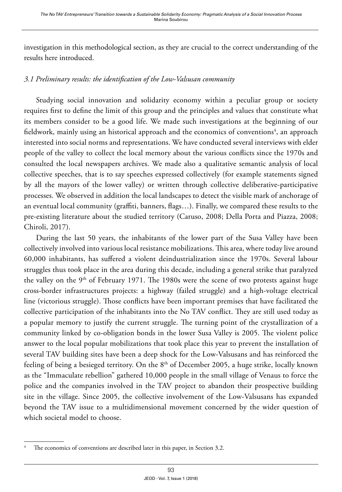investigation in this methodological section, as they are crucial to the correct understanding of the results here introduced.

#### *3.1 Preliminary results: the identification of the Low-Valsusan community*

Studying social innovation and solidarity economy within a peculiar group or society requires first to define the limit of this group and the principles and values that constitute what its members consider to be a good life. We made such investigations at the beginning of our fieldwork, mainly using an historical approach and the economics of conventions $\mathrm{^4},$  an approach interested into social norms and representations. We have conducted several interviews with elder people of the valley to collect the local memory about the various conflicts since the 1970s and consulted the local newspapers archives. We made also a qualitative semantic analysis of local collective speeches, that is to say speeches expressed collectively (for example statements signed by all the mayors of the lower valley) or written through collective deliberative-participative processes. We observed in addition the local landscapes to detect the visible mark of anchorage of an eventual local community (graffiti, banners, flags…). Finally, we compared these results to the pre-existing literature about the studied territory (Caruso, 2008; Della Porta and Piazza, 2008; Chiroli, 2017).

During the last 50 years, the inhabitants of the lower part of the Susa Valley have been collectively involved into various local resistance mobilizations. This area, where today live around 60,000 inhabitants, has suffered a violent deindustrialization since the 1970s. Several labour struggles thus took place in the area during this decade, including a general strike that paralyzed the valley on the 9<sup>th</sup> of February 1971. The 1980s were the scene of two protests against huge cross-border infrastructures projects: a highway (failed struggle) and a high-voltage electrical line (victorious struggle). Those conflicts have been important premises that have facilitated the collective participation of the inhabitants into the No TAV conflict. They are still used today as a popular memory to justify the current struggle. The turning point of the crystallization of a community linked by co-obligation bonds in the lower Susa Valley is 2005. The violent police answer to the local popular mobilizations that took place this year to prevent the installation of several TAV building sites have been a deep shock for the Low-Valsusans and has reinforced the feeling of being a besieged territory. On the 8<sup>th</sup> of December 2005, a huge strike, locally known as the "Immaculate rebellion" gathered 10,000 people in the small village of Venaus to force the police and the companies involved in the TAV project to abandon their prospective building site in the village. Since 2005, the collective involvement of the Low-Valsusans has expanded beyond the TAV issue to a multidimensional movement concerned by the wider question of which societal model to choose.

The economics of conventions are described later in this paper, in Section 3.2.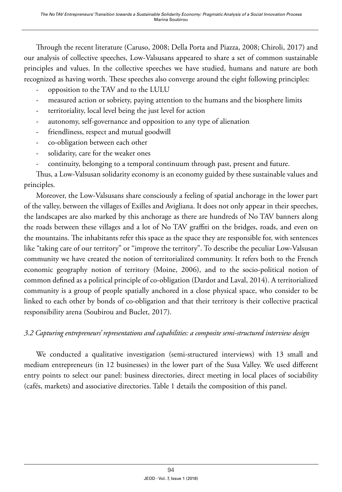Through the recent literature (Caruso, 2008; Della Porta and Piazza, 2008; Chiroli, 2017) and our analysis of collective speeches, Low-Valsusans appeared to share a set of common sustainable principles and values. In the collective speeches we have studied, humans and nature are both recognized as having worth. These speeches also converge around the eight following principles:

- opposition to the TAV and to the LULU
- measured action or sobriety, paying attention to the humans and the biosphere limits
- territoriality, local level being the just level for action
- autonomy, self-governance and opposition to any type of alienation
- friendliness, respect and mutual goodwill
- co-obligation between each other
- solidarity, care for the weaker ones
- continuity, belonging to a temporal continuum through past, present and future.

Thus, a Low-Valsusan solidarity economy is an economy guided by these sustainable values and principles.

Moreover, the Low-Valsusans share consciously a feeling of spatial anchorage in the lower part of the valley, between the villages of Exilles and Avigliana. It does not only appear in their speeches, the landscapes are also marked by this anchorage as there are hundreds of No TAV banners along the roads between these villages and a lot of No TAV graffiti on the bridges, roads, and even on the mountains. The inhabitants refer this space as the space they are responsible for, with sentences like "taking care of our territory" or "improve the territory". To describe the peculiar Low-Valsusan community we have created the notion of territorialized community. It refers both to the French economic geography notion of territory (Moine, 2006), and to the socio-political notion of common defined as a political principle of co-obligation (Dardot and Laval, 2014). A territorialized community is a group of people spatially anchored in a close physical space, who consider to be linked to each other by bonds of co-obligation and that their territory is their collective practical responsibility arena (Soubirou and Buclet, 2017).

# *3.2 Capturing entrepreneurs' representations and capabilities: a composite semi-structured interview design*

We conducted a qualitative investigation (semi-structured interviews) with 13 small and medium entrepreneurs (in 12 businesses) in the lower part of the Susa Valley. We used different entry points to select our panel: business directories, direct meeting in local places of sociability (cafés, markets) and associative directories. Table 1 details the composition of this panel.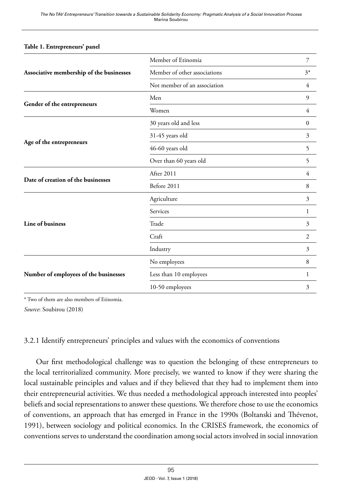|                                          | Member of Etinomia           | 7              |
|------------------------------------------|------------------------------|----------------|
| Associative membership of the businesses | Member of other associations | $3^*$          |
|                                          | Not member of an association | 4              |
|                                          | Men                          | 9              |
| Gender of the entrepreneurs              | Women                        | 4              |
|                                          | 30 years old and less        | $\mathbf{0}$   |
|                                          | 31-45 years old              | 3              |
| Age of the entrepreneurs                 | 46-60 years old              | 5              |
|                                          | Over than 60 years old       | 5              |
|                                          | After 2011                   | 4              |
| Date of creation of the businesses       | Before 2011                  | 8              |
|                                          | Agriculture                  | 3              |
|                                          | Services                     | 1              |
| Line of business                         | Trade                        | 3              |
|                                          | Craft                        | $\overline{2}$ |
|                                          | Industry                     | 3              |
|                                          | No employees                 | 8              |
| Number of employees of the businesses    | Less than 10 employees       | 1              |
|                                          | 10-50 employees              | 3              |
|                                          |                              |                |

#### **Table 1. Entrepreneurs' panel**

\* Two of them are also members of Etinomia.

*Source*: Soubirou (2018)

#### 3.2.1 Identify entrepreneurs' principles and values with the economics of conventions

Our first methodological challenge was to question the belonging of these entrepreneurs to the local territorialized community. More precisely, we wanted to know if they were sharing the local sustainable principles and values and if they believed that they had to implement them into their entrepreneurial activities. We thus needed a methodological approach interested into peoples' beliefs and social representations to answer these questions. We therefore chose to use the economics of conventions, an approach that has emerged in France in the 1990s (Boltanski and Thévenot, 1991), between sociology and political economics. In the CRISES framework, the economics of conventions serves to understand the coordination among social actors involved in social innovation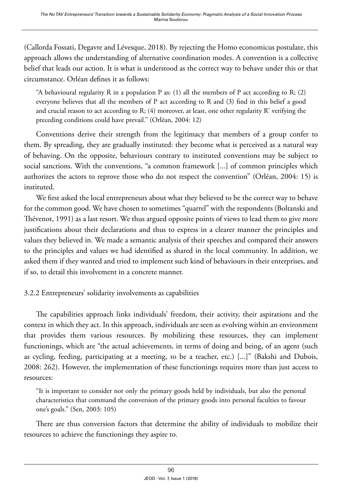(Callorda Fossati, Degavre and Lévesque, 2018). By rejecting the Homo economicus postulate, this approach allows the understanding of alternative coordination modes. A convention is a collective belief that leads our action. It is what is understood as the correct way to behave under this or that circumstance. Orléan defines it as follows:

"A behavioural regularity R in a population P as: (1) all the members of P act according to R; (2) everyone believes that all the members of P act according to R and (3) find in this belief a good and crucial reason to act according to R;  $(4)$  moreover, at least, one other regularity R' verifying the preceding conditions could have prevail." (Orléan, 2004: 12)

Conventions derive their strength from the legitimacy that members of a group confer to them. By spreading, they are gradually instituted: they become what is perceived as a natural way of behaving. On the opposite, behaviours contrary to instituted conventions may be subject to social sanctions. With the conventions, "a common framework [...] of common principles which authorizes the actors to reprove those who do not respect the convention" (Orléan, 2004: 15) is instituted.

We first asked the local entrepreneurs about what they believed to be the correct way to behave for the common good. We have chosen to sometimes "quarrel" with the respondents (Boltanski and Thévenot, 1991) as a last resort. We thus argued opposite points of views to lead them to give more justifications about their declarations and thus to express in a clearer manner the principles and values they believed in. We made a semantic analysis of their speeches and compared their answers to the principles and values we had identified as shared in the local community. In addition, we asked them if they wanted and tried to implement such kind of behaviours in their enterprises, and if so, to detail this involvement in a concrete manner.

# 3.2.2 Entrepreneurs' solidarity involvements as capabilities

The capabilities approach links individuals' freedom, their activity, their aspirations and the context in which they act. In this approach, individuals are seen as evolving within an environment that provides them various resources. By mobilizing these resources, they can implement functionings, which are "the actual achievements, in terms of doing and being, of an agent (such as cycling, feeding, participating at a meeting, to be a teacher, etc.) [...]" (Bakshi and Dubois, 2008: 262). However, the implementation of these functionings requires more than just access to resources:

"It is important to consider not only the primary goods held by individuals, but also the personal characteristics that command the conversion of the primary goods into personal faculties to favour one's goals." (Sen, 2003: 105)

There are thus conversion factors that determine the ability of individuals to mobilize their resources to achieve the functionings they aspire to.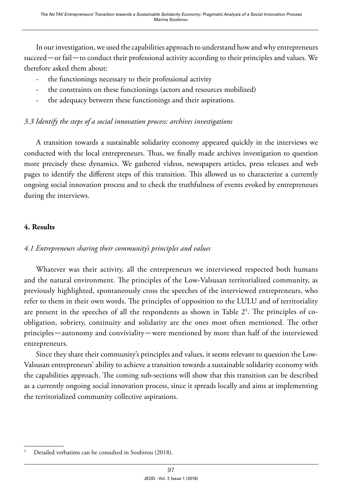In our investigation, we used the capabilities approach to understand how and why entrepreneurs succeed—or fail—to conduct their professional activity according to their principles and values. We therefore asked them about:

- the functionings necessary to their professional activity
- the constraints on these functionings (actors and resources mobilized)
- the adequacy between these functionings and their aspirations.

#### *3.3 Identify the steps of a social innovation process: archives investigations*

A transition towards a sustainable solidarity economy appeared quickly in the interviews we conducted with the local entrepreneurs. Thus, we finally made archives investigation to question more precisely these dynamics. We gathered videos, newspapers articles, press releases and web pages to identify the different steps of this transition. This allowed us to characterize a currently ongoing social innovation process and to check the truthfulness of events evoked by entrepreneurs during the interviews.

#### **4. Results**

# *4.1 Entrepreneurs sharing their community's principles and values*

Whatever was their activity, all the entrepreneurs we interviewed respected both humans and the natural environment. The principles of the Low-Valsusan territorialized community, as previously highlighted, spontaneously cross the speeches of the interviewed entrepreneurs, who refer to them in their own words. The principles of opposition to the LULU and of territoriality are present in the speeches of all the respondents as shown in Table  $2^5.$  The principles of coobligation, sobriety, continuity and solidarity are the ones most often mentioned. The other principles—autonomy and conviviality—were mentioned by more than half of the interviewed entrepreneurs.

Since they share their community's principles and values, it seems relevant to question the Low-Valsusan entrepreneurs' ability to achieve a transition towards a sustainable solidarity economy with the capabilities approach. The coming sub-sections will show that this transition can be described as a currently ongoing social innovation process, since it spreads locally and aims at implementing the territorialized community collective aspirations.

<sup>5</sup> Detailed verbatims can be consulted in Soubirou (2018).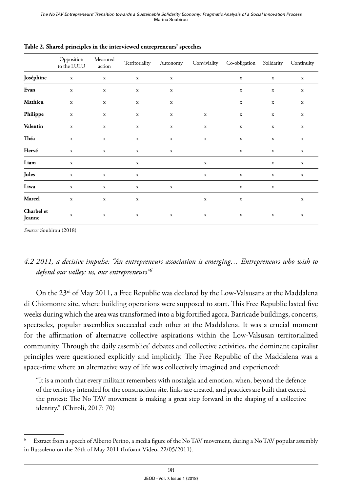|                      | Opposition<br>to the LULU | Measured<br>action | Territoriality |             |             | Autonomy Conviviality Co-obligation Solidarity |             | Continuity  |
|----------------------|---------------------------|--------------------|----------------|-------------|-------------|------------------------------------------------|-------------|-------------|
| Joséphine            | $\mathbf x$               | $\mathbf x$        | $\mathbf x$    | $\mathbf x$ |             | $\mathbf x$                                    | $\mathbf x$ | $\mathbf x$ |
| Evan                 | $\mathbf x$               | $\mathbf x$        | $\mathbf x$    | $\mathbf x$ |             | $\mathbf x$                                    | $\mathbf x$ | $\mathbf x$ |
| Mathieu              | $\mathbf x$               | $\mathbf x$        | $\mathbf x$    | $\mathbf x$ |             | $\mathbf x$                                    | $\mathbf x$ | $\mathbf x$ |
| Philippe             | $\mathbf x$               | $\mathbf x$        | $\mathbf x$    | $\mathbf x$ | $\mathbf x$ | $\mathbf x$                                    | $\mathbf x$ | $\mathbf x$ |
| Valentin             | $\mathbf x$               | $\mathbf x$        | $\mathbf x$    | $\mathbf x$ | $\mathbf x$ | $\mathbf x$                                    | $\mathbf x$ | $\mathbf x$ |
| Théa                 | $\mathbf x$               | $\mathbf x$        | $\mathbf x$    | $\mathbf x$ | $\mathbf x$ | $\mathbf x$                                    | $\mathbf x$ | $\mathbf x$ |
| Hervé                | $\mathbf x$               | $\mathbf x$        | $\mathbf x$    | $\mathbf x$ |             | $\mathbf x$                                    | $\mathbf x$ | $\mathbf x$ |
| Liam                 | $\mathbf x$               |                    | $\mathbf x$    |             | $\mathbf x$ |                                                | $\mathbf x$ | $\mathbf x$ |
| Jules                | $\mathbf x$               | $\mathbf x$        | $\mathbf X$    |             | $\mathbf x$ | $\mathbf x$                                    | $\mathbf x$ | $\mathbf x$ |
| Liwa                 | $\mathbf x$               | $\mathbf x$        | $\mathbf x$    | $\mathbf x$ |             | $\mathbf x$                                    | $\mathbf x$ |             |
| Marcel               | $\mathbf x$               | $\mathbf x$        | $\mathbf x$    |             | $\mathbf x$ | $\mathbf x$                                    |             | $\mathbf x$ |
| Charbel et<br>Jeanne | $\mathbf x$               | $\mathbf x$        | $\mathbf x$    | $\mathbf x$ | $\mathbf x$ | $\mathbf x$                                    | $\mathbf x$ | $\mathbf x$ |

**Table 2. Shared principles in the interviewed entrepreneurs' speeches**

*Source:* Soubirou (2018)

# *4.2 2011, a decisive impulse: "An entrepreneurs association is emerging… Entrepreneurs who wish to defend our valley: us, our entrepreneurs"6*

On the  $23<sup>rd</sup>$  of May 2011, a Free Republic was declared by the Low-Valsusans at the Maddalena di Chiomonte site, where building operations were supposed to start. This Free Republic lasted five weeks during which the area was transformed into a big fortified agora. Barricade buildings, concerts, spectacles, popular assemblies succeeded each other at the Maddalena. It was a crucial moment for the affirmation of alternative collective aspirations within the Low-Valsusan territorialized community. Through the daily assemblies' debates and collective activities, the dominant capitalist principles were questioned explicitly and implicitly. The Free Republic of the Maddalena was a space-time where an alternative way of life was collectively imagined and experienced:

"It is a month that every militant remembers with nostalgia and emotion, when, beyond the defence of the territory intended for the construction site, links are created, and practices are built that exceed the protest: The No TAV movement is making a great step forward in the shaping of a collective identity." (Chiroli, 2017: 70)

Extract from a speech of Alberto Perino, a media figure of the No TAV movement, during a No TAV popular assembly in Bussoleno on the 26th of May 2011 (Infoaut Video, 22/05/2011).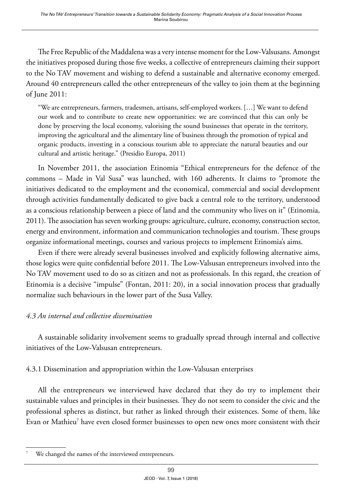The Free Republic of the Maddalena was a very intense moment for the Low-Valsusans. Amongst the initiatives proposed during those five weeks, a collective of entrepreneurs claiming their support to the No TAV movement and wishing to defend a sustainable and alternative economy emerged. Around 40 entrepreneurs called the other entrepreneurs of the valley to join them at the beginning of June 2011:

"We are entrepreneurs, farmers, tradesmen, artisans, self-employed workers. […] We want to defend our work and to contribute to create new opportunities: we are convinced that this can only be done by preserving the local economy, valorising the sound businesses that operate in the territory, improving the agricultural and the alimentary line of business through the promotion of typical and organic products, investing in a conscious tourism able to appreciate the natural beauties and our cultural and artistic heritage." (Presidio Europa, 2011)

In November 2011, the association Etinomia "Ethical entrepreneurs for the defence of the commons – Made in Val Susa" was launched, with 160 adherents. It claims to "promote the initiatives dedicated to the employment and the economical, commercial and social development through activities fundamentally dedicated to give back a central role to the territory, understood as a conscious relationship between a piece of land and the community who lives on it" (Etinomia, 2011). The association has seven working groups: agriculture, culture, economy, construction sector, energy and environment, information and communication technologies and tourism. These groups organize informational meetings, courses and various projects to implement Etinomia's aims.

Even if there were already several businesses involved and explicitly following alternative aims, those logics were quite confidential before 2011. The Low-Valsusan entrepreneurs involved into the No TAV movement used to do so as citizen and not as professionals. In this regard, the creation of Etinomia is a decisive "impulse" (Fontan, 2011: 20), in a social innovation process that gradually normalize such behaviours in the lower part of the Susa Valley.

# *4.3 An internal and collective dissemination*

A sustainable solidarity involvement seems to gradually spread through internal and collective initiatives of the Low-Valsusan entrepreneurs.

# 4.3.1 Dissemination and appropriation within the Low-Valsusan enterprises

All the entrepreneurs we interviewed have declared that they do try to implement their sustainable values and principles in their businesses. They do not seem to consider the civic and the professional spheres as distinct, but rather as linked through their existences. Some of them, like Evan or Mathieu $^7$  have even closed former businesses to open new ones more consistent with their

We changed the names of the interviewed entrepreneurs.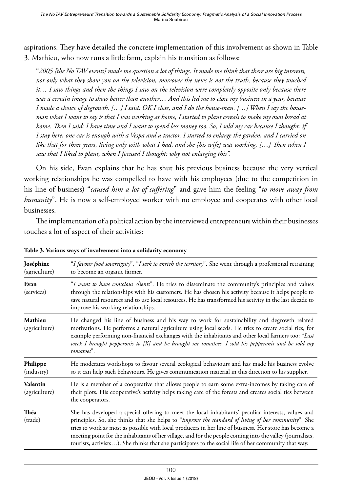aspirations. They have detailed the concrete implementation of this involvement as shown in Table 3. Mathieu, who now runs a little farm, explain his transition as follows:

"*2005 [the No TAV events] made me question a lot of things. It made me think that there are big interests, not only what they show you on the television, moreover the news is not the truth, because they touched it… I saw things and then the things I saw on the television were completely opposite only because there was a certain image to show better than another… And this led me to close my business in a year, because I made a choice of degrowth. […] I said: OK I close, and I do the house-man. […] When I say the houseman what I want to say is that I was working at home, I started to plant cereals to make my own bread at home. Then I said: I have time and I want to spend less money too. So, I sold my car because I thought: if I stay here, one car is enough with a Vespa and a tractor. I started to enlarge the garden, and I carried on like that for three years, living only with what I had, and she [his wife] was working. […] Then when I saw that I liked to plant, when I focused I thought: why not enlarging this".*

On his side, Evan explains that he has shut his previous business because the very vertical working relationships he was compelled to have with his employees (due to the competition in his line of business) "*caused him a lot of suffering*" and gave him the feeling "*to move away from humanity*". He is now a self-employed worker with no employee and cooperates with other local businesses.

The implementation of a political action by the interviewed entrepreneurs within their businesses touches a lot of aspect of their activities:

| Joséphine<br>(agriculture) | "I favour food sovereignty", "I seek to enrich the territory". She went through a professional retraining<br>to become an organic farmer.                                                                                                                                                                                                                                                                                                                                                                                                |
|----------------------------|------------------------------------------------------------------------------------------------------------------------------------------------------------------------------------------------------------------------------------------------------------------------------------------------------------------------------------------------------------------------------------------------------------------------------------------------------------------------------------------------------------------------------------------|
| Evan<br>(services)         | "I want to have conscious clients". He tries to disseminate the community's principles and values<br>through the relationships with his customers. He has chosen his activity because it helps people to<br>save natural resources and to use local resources. He has transformed his activity in the last decade to<br>improve his working relationships.                                                                                                                                                                               |
| Mathieu<br>(agriculture)   | He changed his line of business and his way to work for sustainability and degrowth related<br>motivations. He performs a natural agriculture using local seeds. He tries to create social ties, for<br>example performing non-financial exchanges with the inhabitants and other local farmers too: "Last<br>week I brought pepperonis to [X] and he brought me tomatoes. I sold his pepperonis and he sold my<br>tomatoes".                                                                                                            |
| Philippe<br>(industry)     | He moderates workshops to favour several ecological behaviours and has made his business evolve<br>so it can help such behaviours. He gives communication material in this direction to his supplier.                                                                                                                                                                                                                                                                                                                                    |
| Valentin<br>(agriculture)  | He is a member of a cooperative that allows people to earn some extra-incomes by taking care of<br>their plots. His cooperative's activity helps taking care of the forests and creates social ties between<br>the cooperators.                                                                                                                                                                                                                                                                                                          |
| Théa<br>(trade)            | She has developed a special offering to meet the local inhabitants' peculiar interests, values and<br>principles. So, she thinks that she helps to "improve the standard of living of her community". She<br>tries to work as most as possible with local producers in her line of business. Her store has become a<br>meeting point for the inhabitants of her village, and for the people coming into the valley (journalists,<br>tourists, activists). She thinks that she participates to the social life of her community that way. |

**Table 3. Various ways of involvement into a solidarity economy**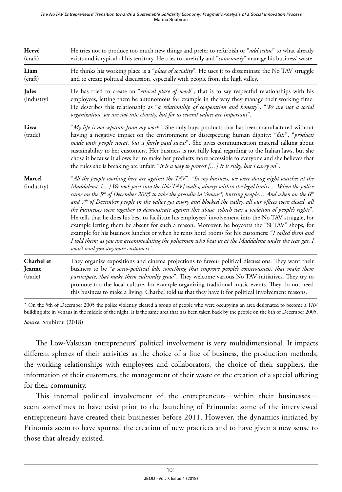| Hervé<br>(c raff)               | He tries not to produce too much new things and prefer to refurbish or "add value" to what already<br>exists and is typical of his territory. He tries to carefully and "consciously" manage his business' waste.                                                                                                                                                                                                                                                                                                                                                                                                                                                                                                                                                                                                                                                                                                                                                                                                                                 |
|---------------------------------|---------------------------------------------------------------------------------------------------------------------------------------------------------------------------------------------------------------------------------------------------------------------------------------------------------------------------------------------------------------------------------------------------------------------------------------------------------------------------------------------------------------------------------------------------------------------------------------------------------------------------------------------------------------------------------------------------------------------------------------------------------------------------------------------------------------------------------------------------------------------------------------------------------------------------------------------------------------------------------------------------------------------------------------------------|
| Liam<br>(craft)                 | He thinks his working place is a " <i>place of sociality</i> ". He uses it to disseminate the No TAV struggle<br>and to create political discussion, especially with people from the high valley.                                                                                                                                                                                                                                                                                                                                                                                                                                                                                                                                                                                                                                                                                                                                                                                                                                                 |
| Jules<br>(industry)             | He has tried to create an "ethical place of work", that is to say respectful relationships with his<br>employees, letting them be autonomous for example in the way they manage their working time.<br>He describes this relationship as "a relationship of cooperation and honesty". "We are not a social<br>organization, we are not into charity, but for us several values are important".                                                                                                                                                                                                                                                                                                                                                                                                                                                                                                                                                                                                                                                    |
| Liwa<br>(trade)                 | "My life is not separate from my work". She only buys products that has been manufactured without<br>having a negative impact on the environment or disrespecting human dignity: "fair", "products<br>made with people sweat, but a fairly paid sweat". She gives communication material talking about<br>sustainability to her customers. Her business is not fully legal regarding to the Italian laws, but she<br>chose it because it allows her to make her products more accessible to everyone and she believes that<br>the rules she is breaking are unfair: "it is a way to protest $[]$ It is risky, but I carry on".                                                                                                                                                                                                                                                                                                                                                                                                                    |
| <b>Marcel</b><br>(industry)     | "All the people working here are against the TAV". "In my business, we were doing night watches at the<br>Maddalena. [] We took part into the [No TAV] walks, always within the legal limits". "When the police<br>came on the 5 <sup>th</sup> of December 2005 to take the presidio in Venaus*, hurting people And when on the 6 <sup>th</sup><br>and $7th$ of December people in the valley got angry and blocked the valley, all our offices were closed, all<br>the businesses were together to demonstrate against this abuse, which was a violation of people's rights".<br>He tells that he does his best to facilitate his employees' involvement into the No TAV struggle, for<br>example letting them be absent for such a reason. Moreover, he boycotts the "Sì TAV" shops, for<br>example for his business lunches or when he rents hotel rooms for his customers: "I called them and<br>I told them: as you are accommodating the policemen who beat us at the Maddalena under the tear gas, I<br>won't send you anymore customers". |
| Charbel et<br>Jeanne<br>(trade) | They organize expositions and cinema projections to favour political discussions. They want their<br>business to be "a socio-political lab, something that improve people's consciousness, that make them<br>participate, that make them culturally grow". They welcome various No TAV initiatives. They try to<br>promote too the local culture, for example organizing traditional music events. They do not need<br>this business to make a living. Charbel told us that they have it for political involvement reasons.                                                                                                                                                                                                                                                                                                                                                                                                                                                                                                                       |

\* On the 5th of December 2005 the police violently cleared a group of people who were occupying an area designated to become a TAV building site in Venaus in the middle of the night. It is the same area that has been taken back by the people on the 8th of December 2005.

*Source*: Soubirou (2018)

The Low-Valsusan entrepreneurs' political involvement is very multidimensional. It impacts different spheres of their activities as the choice of a line of business, the production methods, the working relationships with employees and collaborators, the choice of their suppliers, the information of their customers, the management of their waste or the creation of a special offering for their community.

This internal political involvement of the entrepreneurs—within their businesses seem sometimes to have exist prior to the launching of Etinomia: some of the interviewed entrepreneurs have created their businesses before 2011. However, the dynamics initiated by Etinomia seem to have spurred the creation of new practices and to have given a new sense to those that already existed.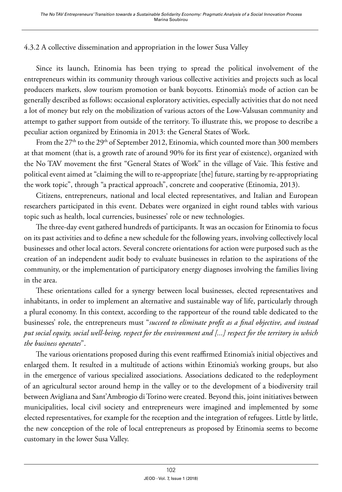#### 4.3.2 A collective dissemination and appropriation in the lower Susa Valley

Since its launch, Etinomia has been trying to spread the political involvement of the entrepreneurs within its community through various collective activities and projects such as local producers markets, slow tourism promotion or bank boycotts. Etinomia's mode of action can be generally described as follows: occasional exploratory activities, especially activities that do not need a lot of money but rely on the mobilization of various actors of the Low-Valsusan community and attempt to gather support from outside of the territory. To illustrate this, we propose to describe a peculiar action organized by Etinomia in 2013: the General States of Work.

From the 27<sup>th</sup> to the 29<sup>th</sup> of September 2012, Etinomia, which counted more than 300 members at that moment (that is, a growth rate of around 90% for its first year of existence), organized with the No TAV movement the first "General States of Work" in the village of Vaie. This festive and political event aimed at "claiming the will to re-appropriate [the] future, starting by re-appropriating the work topic", through "a practical approach", concrete and cooperative (Etinomia, 2013).

Citizens, entrepreneurs, national and local elected representatives, and Italian and European researchers participated in this event. Debates were organized in eight round tables with various topic such as health, local currencies, businesses' role or new technologies.

The three-day event gathered hundreds of participants. It was an occasion for Etinomia to focus on its past activities and to define a new schedule for the following years, involving collectively local businesses and other local actors. Several concrete orientations for action were purposed such as the creation of an independent audit body to evaluate businesses in relation to the aspirations of the community, or the implementation of participatory energy diagnoses involving the families living in the area.

These orientations called for a synergy between local businesses, elected representatives and inhabitants, in order to implement an alternative and sustainable way of life, particularly through a plural economy. In this context, according to the rapporteur of the round table dedicated to the businesses' role, the entrepreneurs must "*succeed to eliminate profit as a final objective, and instead put social equity, social well-being, respect for the environment and [...] respect for the territory in which the business operates*".

The various orientations proposed during this event reaffirmed Etinomia's initial objectives and enlarged them. It resulted in a multitude of actions within Etinomia's working groups, but also in the emergence of various specialized associations. Associations dedicated to the redeployment of an agricultural sector around hemp in the valley or to the development of a biodiversity trail between Avigliana and Sant'Ambrogio di Torino were created. Beyond this, joint initiatives between municipalities, local civil society and entrepreneurs were imagined and implemented by some elected representatives, for example for the reception and the integration of refugees. Little by little, the new conception of the role of local entrepreneurs as proposed by Etinomia seems to become customary in the lower Susa Valley.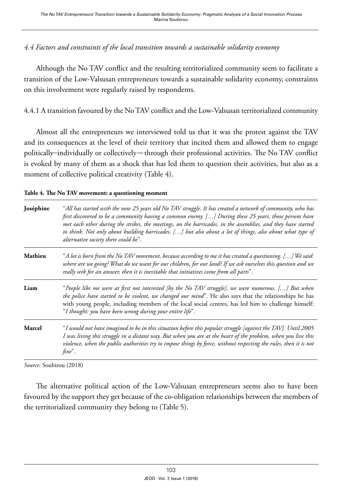#### *4.4 Factors and constraints of the local transition towards a sustainable solidarity economy*

Although the No TAV conflict and the resulting territorialized community seem to facilitate a transition of the Low-Valsusan entrepreneurs towards a sustainable solidarity economy, constraints on this involvement were regularly raised by respondents.

4.4.1 A transition favoured by the No TAV conflict and the Low-Valsusan territorialized community

Almost all the entrepreneurs we interviewed told us that it was the protest against the TAV and its consequences at the level of their territory that incited them and allowed them to engage politically–individually or collectively—through their professional activities. The No TAV conflict is evoked by many of them as a shock that has led them to question their activities, but also as a moment of collective political creativity (Table 4).

| Table 4. The No TAV movement: a questioning moment |  |  |  |
|----------------------------------------------------|--|--|--|
|----------------------------------------------------|--|--|--|

| Joséphine     | "All has started with the now 25 years old No TAV struggle. It has created a network of community, who has<br>first discovered to be a community having a common enemy. [] During these 25 years, those persons have<br>met each other during the strikes, the meetings, on the barricades, in the assemblies, and they have started<br>to think. Not only about building barricades, [] but also about a lot of things, also about what type of<br>alternative society there could be". |
|---------------|------------------------------------------------------------------------------------------------------------------------------------------------------------------------------------------------------------------------------------------------------------------------------------------------------------------------------------------------------------------------------------------------------------------------------------------------------------------------------------------|
| Mathieu       | "A lot is born from the No TAV movement, because according to me it has created a questioning. [] We said:<br>where are we going? What do we want for our children, for our land? If we ask ourselves this question and we<br>really seek for an answer, then it is inevitable that initiatives come from all parts".                                                                                                                                                                    |
| Liam          | "People like me were at first not interested [by the No TAV struggle], we were numerous. [] But when<br>the police have started to be violent, we changed our mind". He also says that the relationships he has<br>with young people, including members of the local social centres, has led him to challenge himself:<br>"I thought: you have been wrong during your entire life".                                                                                                      |
| <b>Marcel</b> | "I would not have imagined to be in this situation before this popular struggle [against the TAV]. Until 2005<br>I was living this struggle in a distant way. But when you are at the heart of the problem, when you live this<br>violence, when the public authorities try to impose things by force, without respecting the rules, then it is not<br>fine".                                                                                                                            |

*Source:* Soubirou (2018)

The alternative political action of the Low-Valsusan entrepreneurs seems also to have been favoured by the support they get because of the co-obligation relationships between the members of the territorialized community they belong to (Table 5).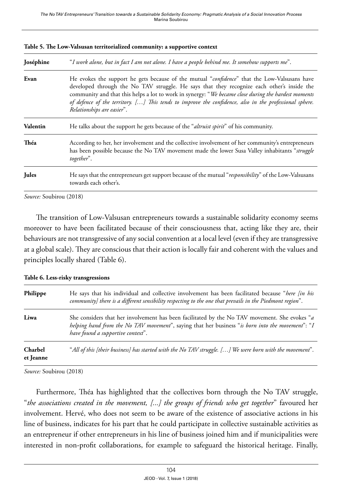| Joséphine    | "I work alone, but in fact I am not alone. I have a people behind me. It somehow supports me".                                                                                                                                                                                                                                                                                                                                            |
|--------------|-------------------------------------------------------------------------------------------------------------------------------------------------------------------------------------------------------------------------------------------------------------------------------------------------------------------------------------------------------------------------------------------------------------------------------------------|
| Evan         | He evokes the support he gets because of the mutual "confidence" that the Low-Valsusans have<br>developed through the No TAV struggle. He says that they recognize each other's inside the<br>community and that this helps a lot to work in synergy: "We became close during the hardest moments<br>of defence of the territory. [] This tends to improve the confidence, also in the professional sphere.<br>Relationships are easier". |
| Valentin     | He talks about the support he gets because of the "altruist spirit" of his community.                                                                                                                                                                                                                                                                                                                                                     |
| Théa         | According to her, her involvement and the collective involvement of her community's entrepreneurs<br>has been possible because the No TAV movement made the lower Susa Valley inhabitants "struggle<br>together".                                                                                                                                                                                                                         |
| <b>Jules</b> | He says that the entrepreneurs get support because of the mutual "responsibility" of the Low-Valsusans<br>towards each other's.                                                                                                                                                                                                                                                                                                           |

|  |  |  |  | Table 5. The Low-Valsusan territorialized community: a supportive context |
|--|--|--|--|---------------------------------------------------------------------------|
|--|--|--|--|---------------------------------------------------------------------------|

*Source:* Soubirou (2018)

The transition of Low-Valsusan entrepreneurs towards a sustainable solidarity economy seems moreover to have been facilitated because of their consciousness that, acting like they are, their behaviours are not transgressive of any social convention at a local level (even if they are transgressive at a global scale). They are conscious that their action is locally fair and coherent with the values and principles locally shared (Table 6).

| Philippe             | He says that his individual and collective involvement has been facilitated because "here [in his<br>community] there is a different sensibility respecting to the one that prevails in the Piedmont region".                          |
|----------------------|----------------------------------------------------------------------------------------------------------------------------------------------------------------------------------------------------------------------------------------|
| Liwa                 | She considers that her involvement has been facilitated by the No TAV movement. She evokes "a<br>helping hand from the No TAV movement", saying that her business "is born into the movement": "I<br>have found a supportive context". |
| Charbel<br>et Jeanne | "All of this [their business] has started with the No TAV struggle. [] We were born with the movement".                                                                                                                                |

**Table 6. Less-risky transgressions**

*Source:* Soubirou (2018)

Furthermore, Théa has highlighted that the collectives born through the No TAV struggle, "*the associations created in the movement, [...] the groups of friends who get together*" favoured her involvement. Hervé, who does not seem to be aware of the existence of associative actions in his line of business, indicates for his part that he could participate in collective sustainable activities as an entrepreneur if other entrepreneurs in his line of business joined him and if municipalities were interested in non-profit collaborations, for example to safeguard the historical heritage. Finally,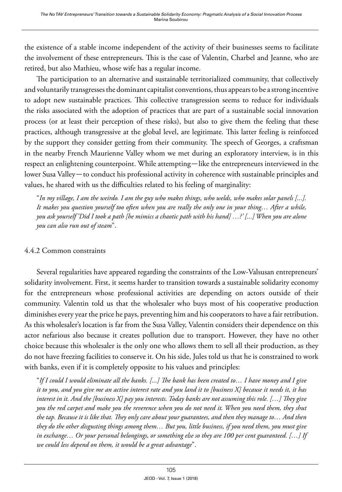the existence of a stable income independent of the activity of their businesses seems to facilitate the involvement of these entrepreneurs. This is the case of Valentin, Charbel and Jeanne, who are retired, but also Mathieu, whose wife has a regular income.

The participation to an alternative and sustainable territorialized community, that collectively and voluntarily transgresses the dominant capitalist conventions, thus appears to be a strong incentive to adopt new sustainable practices. This collective transgression seems to reduce for individuals the risks associated with the adoption of practices that are part of a sustainable social innovation process (or at least their perception of these risks), but also to give them the feeling that these practices, although transgressive at the global level, are legitimate. This latter feeling is reinforced by the support they consider getting from their community. The speech of Georges, a craftsman in the nearby French Maurienne Valley whom we met during an exploratory interview, is in this respect an enlightening counterpoint. While attempting—like the entrepreneurs interviewed in the lower Susa Valley—to conduct his professional activity in coherence with sustainable principles and values, he shared with us the difficulties related to his feeling of marginality:

"*In my village, I am the weirdo. I am the guy who makes things, who welds, who makes solar panels [...]. It makes you question yourself too often when you are really the only one in your thing… After a while, you ask yourself 'Did I took a path [he mimics a chaotic path with his hand] …?' [...] When you are alone you can also run out of steam*".

#### 4.4.2 Common constraints

Several regularities have appeared regarding the constraints of the Low-Valsusan entrepreneurs' solidarity involvement. First, it seems harder to transition towards a sustainable solidarity economy for the entrepreneurs whose professional activities are depending on actors outside of their community. Valentin told us that the wholesaler who buys most of his cooperative production diminishes every year the price he pays, preventing him and his cooperators to have a fair retribution. As this wholesaler's location is far from the Susa Valley, Valentin considers their dependence on this actor nefarious also because it creates pollution due to transport. However, they have no other choice because this wholesaler is the only one who allows them to sell all their production, as they do not have freezing facilities to conserve it. On his side, Jules told us that he is constrained to work with banks, even if it is completely opposite to his values and principles:

"*If I could I would eliminate all the banks. [...] The bank has been created to… I have money and I give it to you, and you give me an active interest rate and you land it to [business X] because it needs it, it has interest in it. And the [business X] pay you interests. Today banks are not assuming this role. […] They give you the red carpet and make you the reverence when you do not need it. When you need them, they shut the tap. Because it is like that. They only care about your guarantees, and then they manage to… And then they do the other disgusting things among them… But you, little business, if you need them, you must give in exchange… Or your personal belongings, or something else so they are 100 per cent guaranteed. […] If we could less depend on them, it would be a great advantage*".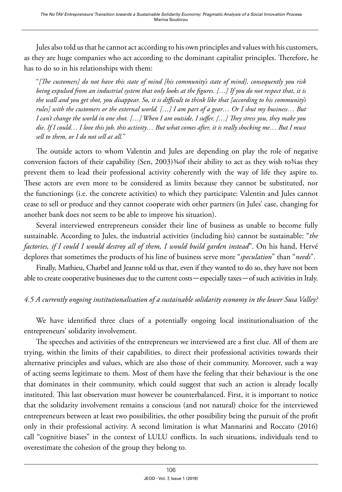Jules also told us that he cannot act according to his own principles and values with his customers, as they are huge companies who act according to the dominant capitalist principles. Therefore, he has to do so in his relationships with them:

"*[The customers] do not have this state of mind [his community's state of mind], consequently you risk being expulsed from an industrial system that only looks at the figures. […] If you do not respect that, it is the wall and you get shot, you disappear. So, it is difficult to think like that [according to his community's rules] with the customers or the external world. […] I am part of a gear… Or I shut my business… But I can't change the world in one shot. […] When I am outside, I suffer. […] They stress you, they make you die. If I could… I love this job, this activity… But what comes after, it is really shocking me… But I must sell to them, or I do not sell at all.*"

The outside actors to whom Valentin and Jules are depending on play the role of negative conversion factors of their capability (Sen, 2003)¾of their ability to act as they wish to¾as they prevent them to lead their professional activity coherently with the way of life they aspire to. These actors are even more to be considered as limits because they cannot be substituted, nor the functionings (i.e. the concrete activities) to which they participate: Valentin and Jules cannot cease to sell or produce and they cannot cooperate with other partners (in Jules' case, changing for another bank does not seem to be able to improve his situation).

Several interviewed entrepreneurs consider their line of business as unable to become fully sustainable. According to Jules, the industrial activities (including his) cannot be sustainable: "*the factories, if I could I would destroy all of them, I would build garden instead*". On his hand, Hervé deplores that sometimes the products of his line of business serve more "*speculation*" than "*needs*".

Finally, Mathieu, Charbel and Jeanne told us that, even if they wanted to do so, they have not been able to create cooperative businesses due to the current costs—especially taxes—of such activities in Italy.

# *4.5 A currently ongoing institutionalisation of a sustainable solidarity economy in the lower Susa Valley?*

We have identified three clues of a potentially ongoing local institutionalisation of the entrepreneurs' solidarity involvement.

The speeches and activities of the entrepreneurs we interviewed are a first clue. All of them are trying, within the limits of their capabilities, to direct their professional activities towards their alternative principles and values, which are also those of their community. Moreover, such a way of acting seems legitimate to them. Most of them have the feeling that their behaviour is the one that dominates in their community, which could suggest that such an action is already locally instituted. This last observation must however be counterbalanced. First, it is important to notice that the solidarity involvement remains a conscious (and not natural) choice for the interviewed entrepreneurs between at least two possibilities, the other possibility being the pursuit of the profit only in their professional activity. A second limitation is what Mannarini and Roccato (2016) call "cognitive biases" in the context of LULU conflicts. In such situations, individuals tend to overestimate the cohesion of the group they belong to.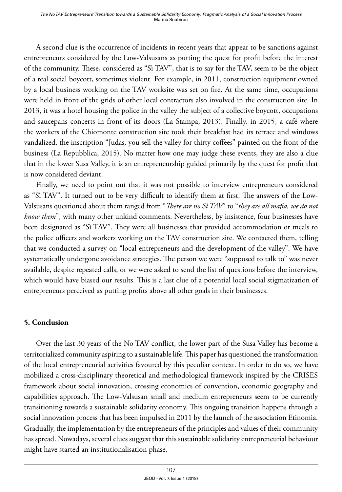A second clue is the occurrence of incidents in recent years that appear to be sanctions against entrepreneurs considered by the Low-Valsusans as putting the quest for profit before the interest of the community. These, considered as "Sì TAV", that is to say for the TAV, seem to be the object of a real social boycott, sometimes violent. For example, in 2011, construction equipment owned by a local business working on the TAV worksite was set on fire. At the same time, occupations were held in front of the grids of other local contractors also involved in the construction site. In 2013, it was a hotel housing the police in the valley the subject of a collective boycott, occupations and saucepans concerts in front of its doors (La Stampa, 2013). Finally, in 2015, a café where the workers of the Chiomonte construction site took their breakfast had its terrace and windows vandalized, the inscription "Judas, you sell the valley for thirty coffees" painted on the front of the business (La Repubblica, 2015). No matter how one may judge these events, they are also a clue that in the lower Susa Valley, it is an entrepreneurship guided primarily by the quest for profit that is now considered deviant.

Finally, we need to point out that it was not possible to interview entrepreneurs considered as "Sì TAV". It turned out to be very difficult to identify them at first. The answers of the Low-Valsusans questioned about them ranged from "*There are no Sì TAV*" to "*they are all mafia, we do not know them*", with many other unkind comments. Nevertheless, by insistence, four businesses have been designated as "Sì TAV". They were all businesses that provided accommodation or meals to the police officers and workers working on the TAV construction site. We contacted them, telling that we conducted a survey on "local entrepreneurs and the development of the valley". We have systematically undergone avoidance strategies. The person we were "supposed to talk to" was never available, despite repeated calls, or we were asked to send the list of questions before the interview, which would have biased our results. This is a last clue of a potential local social stigmatization of entrepreneurs perceived as putting profits above all other goals in their businesses.

# **5. Conclusion**

Over the last 30 years of the No TAV conflict, the lower part of the Susa Valley has become a territorialized community aspiring to a sustainable life. This paper has questioned the transformation of the local entrepreneurial activities favoured by this peculiar context. In order to do so, we have mobilized a cross-disciplinary theoretical and methodological framework inspired by the CRISES framework about social innovation, crossing economics of convention, economic geography and capabilities approach. The Low-Valsusan small and medium entrepreneurs seem to be currently transitioning towards a sustainable solidarity economy. This ongoing transition happens through a social innovation process that has been impulsed in 2011 by the launch of the association Etinomia. Gradually, the implementation by the entrepreneurs of the principles and values of their community has spread. Nowadays, several clues suggest that this sustainable solidarity entrepreneurial behaviour might have started an institutionalisation phase.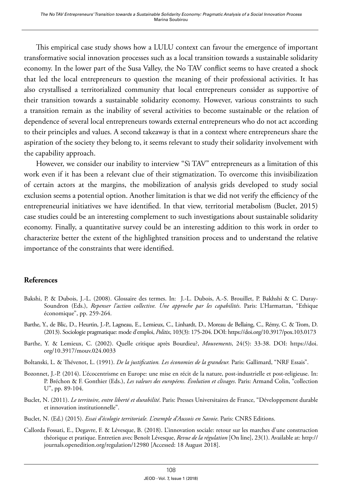This empirical case study shows how a LULU context can favour the emergence of important transformative social innovation processes such as a local transition towards a sustainable solidarity economy. In the lower part of the Susa Valley, the No TAV conflict seems to have created a shock that led the local entrepreneurs to question the meaning of their professional activities. It has also crystallised a territorialized community that local entrepreneurs consider as supportive of their transition towards a sustainable solidarity economy. However, various constraints to such a transition remain as the inability of several activities to become sustainable or the relation of dependence of several local entrepreneurs towards external entrepreneurs who do not act according to their principles and values. A second takeaway is that in a context where entrepreneurs share the aspiration of the society they belong to, it seems relevant to study their solidarity involvement with the capability approach.

However, we consider our inability to interview "Sì TAV" entrepreneurs as a limitation of this work even if it has been a relevant clue of their stigmatization. To overcome this invisibilization of certain actors at the margins, the mobilization of analysis grids developed to study social exclusion seems a potential option. Another limitation is that we did not verify the efficiency of the entrepreneurial initiatives we have identified. In that view, territorial metabolism (Buclet, 2015) case studies could be an interesting complement to such investigations about sustainable solidarity economy. Finally, a quantitative survey could be an interesting addition to this work in order to characterize better the extent of the highlighted transition process and to understand the relative importance of the constraints that were identified.

#### **References**

- Bakshi, P. & Dubois, J.-L. (2008). Glossaire des termes. In: J.-L. Dubois, A.-S. Brouillet, P. Bakhshi & C. Duray-Soundron (Eds.), *Repenser l'action collective. Une approche par les capabilités*. Paris: L'Harmattan, "Ethique économique", pp. 259-264.
- Barthe, Y., de Blic, D., Heurtin, J.-P., Lagneau, E., Lemieux, C., Linhardt, D., Moreau de Bellaing, C., Rémy, C. & Trom, D. (2013). Sociologie pragmatique: mode d'emploi, *Politix*, 103(3): 175-204. DOI:<https://doi.org/10.3917/pox.103.0173>
- Barthe, Y. & Lemieux, C. (2002). Quelle critique après Bourdieu?, *Mouvements*, 24(5): 33-38. DOI: [https://doi.](https://doi.org/10.3917/mouv.024.0033) [org/10.3917/mouv.024.0033](https://doi.org/10.3917/mouv.024.0033)
- Boltanski, L. & Thévenot, L. (1991). *De la justification. Les économies de la grandeur.* Paris: Gallimard, "NRF Essais".
- Bozonnet, J.-P. (2014). L'écocentrisme en Europe: une mise en récit de la nature, post-industrielle et post-religieuse. In: P. Bréchon & F. Gonthier (Eds.), *Les valeurs des européens. Évolution et clivages*. Paris: Armand Colin, "collection U", pp. 89-104.
- Buclet, N. (2011). *Le territoire, entre liberté et durabilité*. Paris: Presses Universitaires de France, "Développement durable et innovation institutionnelle".
- Buclet, N. (Ed.) (2015). *Essai d'écologie territoriale. L'exemple d'Aussois en Savoie*. Paris: CNRS Editions.
- Callorda Fossati, E., Degavre, F. & Lévesque, B. (2018). L'innovation sociale: retour sur les marches d'une construction théorique et pratique. Entretien avec Benoît Lévesque, *Revue de la régulation* [On line], 23(1). Available at: [http://](http://journals.openedition.org/regulation/12980) [journals.openedition.org/regulation/12980](http://journals.openedition.org/regulation/12980) [Accessed: 18 August 2018].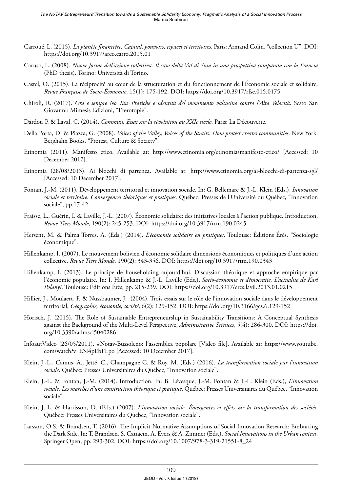- Carroué, L. (2015). *La planète financière. Capital, pouvoirs, espaces et territoires*. Paris: Armand Colin, "collection U". DOI: <https://doi.org/10.3917/arco.carro.2015.01>
- Caruso, L. (2008). *Nuove forme dell'azione collettiva. Il caso della Val di Susa in una prospettiva comparata con la Francia* (PhD thesis). Torino: Università di Torino.
- Castel, O. (2015). La réciprocité au cœur de la structuration et du fonctionnement de l'Économie sociale et solidaire, *Revue Française de Socio-Économie*, 15(1): 175-192. DOI:<https://doi.org/10.3917/rfse.015.0175>
- Chiroli, R. (2017). *Ora e sempre No Tav. Pratiche e identità del movimento valsusino contro l'Alta Velocità*. Sesto San Giovanni: Mimesis Edizioni, "Eterotopie".
- Dardot, P. & Laval, C. (2014). *Commun. Essai sur la révolution au XXIe siècle*. Paris: La Découverte.
- Della Porta, D. & Piazza, G. (2008). *Voices of the Valley, Voices of the Straits. How protest creates communities*. New York: Berghahn Books, "Protest, Culture & Society".
- Etinomia (2011). Manifesto etico. Available at: <http://www.etinomia.org/etinomia/manifesto-etico/> [Accessed: 10 December 2017].
- Etinomia (28/08/2013). Ai blocchi di partenza. Available at: <http://www.etinomia.org/ai-blocchi-di-partenza-sgl/> [Accessed: 10 December 2017].
- Fontan, J.-M. (2011). Développement territorial et innovation sociale. In: G. Bellemare & J.-L. Klein (Eds.), *Innovation sociale et territoire. Convergences théoriques et pratiques*. Québec: Presses de l'Université du Québec, "Innovation sociale", pp.17-42.
- Fraisse, L., Guérin, I. & Laville, J.-L. (2007). Économie solidaire: des initiatives locales à l'action publique. Introduction, *Revue Tiers Monde*, 190(2): 245-253. DOI: <https://doi.org/10.3917/rtm.190.0245>
- Hersent, M. & Palma Torres, A. (Eds.) (2014). *L'économie solidaire en pratiques*. Toulouse: Éditions Érès, "Sociologie économique".
- Hillenkamp, I. (2007). Le mouvement bolivien d'économie solidaire dimensions économiques et politiques d'une action collective, *Revue Tiers Monde*, 190(2): 343-356. DOI:<https://doi.org/10.3917/rtm.190.0343>
- Hillenkamp, I. (2013). Le principe de householding aujourd'hui. Discussion théorique et approche empirique par l'économie populaire. In: I. Hillenkamp & J.-L. Laville (Eds.), *Socio-économie et démocratie. L'actualité de Karl Polanyi*. Toulouse: Éditions Érès, pp. 215-239. DOI:<https://doi.org/10.3917/eres.lavil.2013.01.0215>
- Hillier, J., Moulaert, F. & Nussbaumer, J. (2004). Trois essais sur le rôle de l'innovation sociale dans le développement territorial, *Géographie, économie, société*, 6(2): 129-152. DOI:<https://doi.org/10.3166/ges.6.129-152>
- Hörisch, J. (2015). The Role of Sustainable Entrepreneurship in Sustainability Transitions: A Conceptual Synthesis against the Background of the Multi-Level Perspective, *Administrative Sciences*, 5(4): 286-300. DOI: [https://doi.](https://doi.org/10.3390/admsci5040286) [org/10.3390/admsci5040286](https://doi.org/10.3390/admsci5040286)
- InfoautVideo (26/05/2011). #Notav-Bussoleno: l'assemblea popolare [Video file]. Available at: [https://www.youtube.](https://www.youtube.com/watch?v=E3I4pEbFLpo) [com/watch?v=E3I4pEbFLpo](https://www.youtube.com/watch?v=E3I4pEbFLpo) [Accessed: 10 December 2017].
- Klein, J.-L., Camus, A., Jetté, C., Champagne C. & Roy, M. (Eds.) (2016). *La transformation sociale par l'innovation sociale*. Québec: Presses Universitaires du Québec, "Innovation sociale".
- Klein, J.-L. & Fontan, J.-M. (2014). Introduction. In: B. Lévesque, J.-M. Fontan & J.-L. Klein (Eds.), *L'innovation sociale. Les marches d'une construction théorique et pratique*. Québec: Presses Universitaires du Québec, "Innovation sociale".
- Klein, J.-L. & Harrisson, D. (Eds.) (2007). *L'innovation sociale. Émergences et effets sur la transformation des sociétés*. Québec: Presses Universitaires du Québec, "Innovation sociale".
- Larsson, O.S. & Brandsen, T. (2016). The Implicit Normative Assumptions of Social Innovation Research: Embracing the Dark Side. In: T. Brandsen, S. Cattacin, A. Evers & A. Zimmer (Eds.), *Social Innovations in the Urban context*. Springer Open, pp. 293-302. DOI: [https://doi.org/10.1007/978-3-319-21551-8\\_24](https://doi.org/10.1007/978-3-319-21551-8_24)